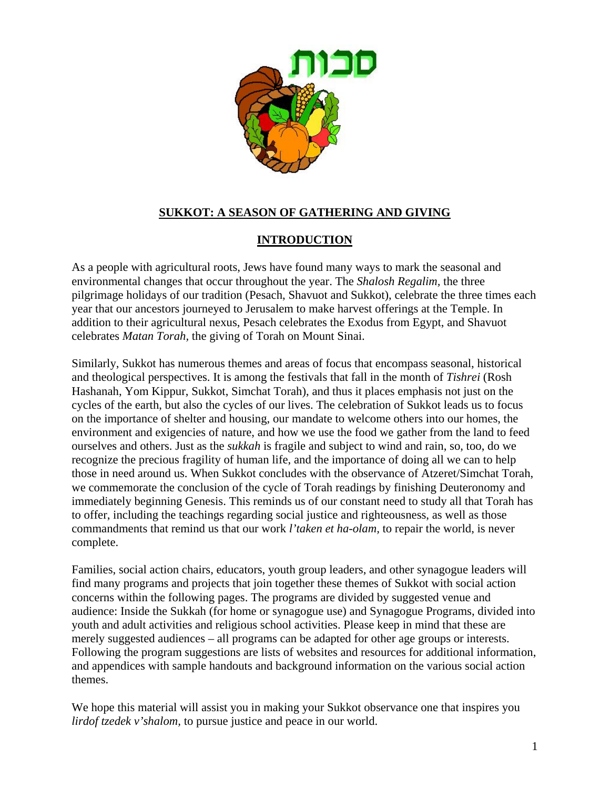

# **SUKKOT: A SEASON OF GATHERING AND GIVING**

### **INTRODUCTION**

As a people with agricultural roots, Jews have found many ways to mark the seasonal and environmental changes that occur throughout the year. The *Shalosh Regalim,* the three pilgrimage holidays of our tradition (Pesach, Shavuot and Sukkot), celebrate the three times each year that our ancestors journeyed to Jerusalem to make harvest offerings at the Temple. In addition to their agricultural nexus, Pesach celebrates the Exodus from Egypt, and Shavuot celebrates *Matan Torah,* the giving of Torah on Mount Sinai.

Similarly, Sukkot has numerous themes and areas of focus that encompass seasonal, historical and theological perspectives. It is among the festivals that fall in the month of *Tishrei* (Rosh Hashanah, Yom Kippur, Sukkot, Simchat Torah), and thus it places emphasis not just on the cycles of the earth, but also the cycles of our lives. The celebration of Sukkot leads us to focus on the importance of shelter and housing, our mandate to welcome others into our homes, the environment and exigencies of nature, and how we use the food we gather from the land to feed ourselves and others. Just as the *sukkah* is fragile and subject to wind and rain, so, too, do we recognize the precious fragility of human life, and the importance of doing all we can to help those in need around us. When Sukkot concludes with the observance of Atzeret/Simchat Torah, we commemorate the conclusion of the cycle of Torah readings by finishing Deuteronomy and immediately beginning Genesis. This reminds us of our constant need to study all that Torah has to offer, including the teachings regarding social justice and righteousness, as well as those commandments that remind us that our work *l'taken et ha-olam,* to repair the world, is never complete.

Families, social action chairs, educators, youth group leaders, and other synagogue leaders will find many programs and projects that join together these themes of Sukkot with social action concerns within the following pages. The programs are divided by suggested venue and audience: Inside the Sukkah (for home or synagogue use) and Synagogue Programs, divided into youth and adult activities and religious school activities. Please keep in mind that these are merely suggested audiences – all programs can be adapted for other age groups or interests. Following the program suggestions are lists of websites and resources for additional information, and appendices with sample handouts and background information on the various social action themes.

We hope this material will assist you in making your Sukkot observance one that inspires you *lirdof tzedek v'shalom,* to pursue justice and peace in our world.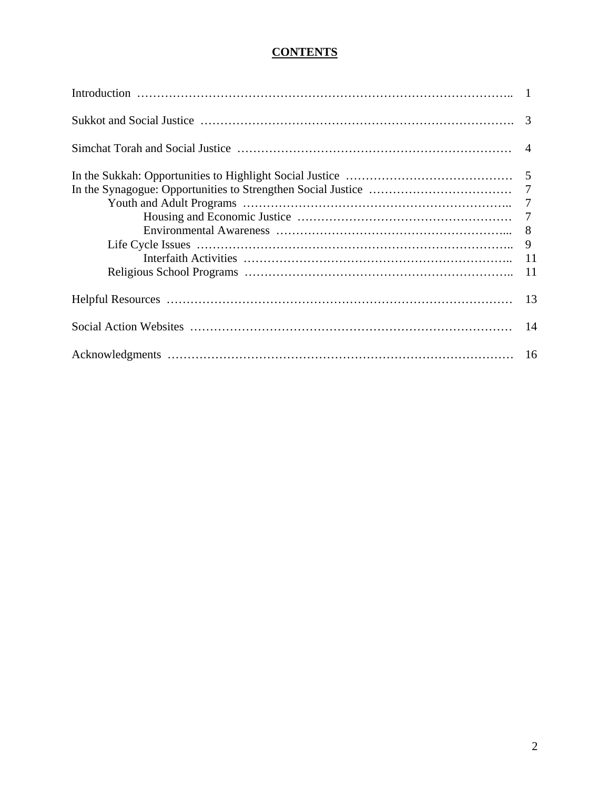# **CONTENTS**

| 9 |
|---|
|   |
|   |
|   |
|   |
|   |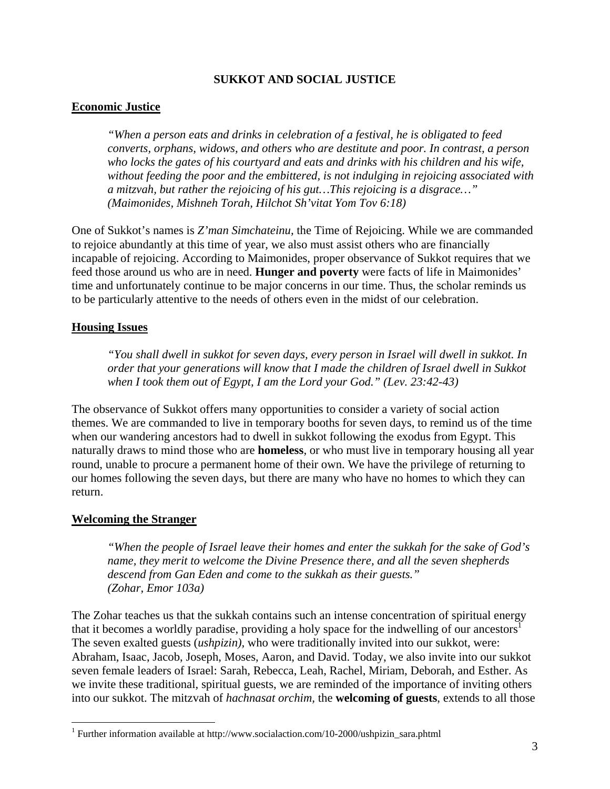#### **SUKKOT AND SOCIAL JUSTICE**

#### **Economic Justice**

*"When a person eats and drinks in celebration of a festival, he is obligated to feed converts, orphans, widows, and others who are destitute and poor. In contrast, a person who locks the gates of his courtyard and eats and drinks with his children and his wife, without feeding the poor and the embittered, is not indulging in rejoicing associated with a mitzvah, but rather the rejoicing of his gut…This rejoicing is a disgrace…" (Maimonides, Mishneh Torah, Hilchot Sh'vitat Yom Tov 6:18)* 

One of Sukkot's names is *Z'man Simchateinu,* the Time of Rejoicing. While we are commanded to rejoice abundantly at this time of year, we also must assist others who are financially incapable of rejoicing. According to Maimonides, proper observance of Sukkot requires that we feed those around us who are in need. **Hunger and poverty** were facts of life in Maimonides' time and unfortunately continue to be major concerns in our time. Thus, the scholar reminds us to be particularly attentive to the needs of others even in the midst of our celebration.

#### **Housing Issues**

*"You shall dwell in sukkot for seven days, every person in Israel will dwell in sukkot. In order that your generations will know that I made the children of Israel dwell in Sukkot when I took them out of Egypt, I am the Lord your God." (Lev. 23:42-43)* 

The observance of Sukkot offers many opportunities to consider a variety of social action themes. We are commanded to live in temporary booths for seven days, to remind us of the time when our wandering ancestors had to dwell in sukkot following the exodus from Egypt. This naturally draws to mind those who are **homeless**, or who must live in temporary housing all year round, unable to procure a permanent home of their own. We have the privilege of returning to our homes following the seven days, but there are many who have no homes to which they can return.

#### **Welcoming the Stranger**

 $\overline{a}$ 

*"When the people of Israel leave their homes and enter the sukkah for the sake of God's name, they merit to welcome the Divine Presence there, and all the seven shepherds descend from Gan Eden and come to the sukkah as their guests." (Zohar, Emor 103a)* 

The Zohar teaches us that the sukkah contains such an intense concentration of spiritual energy that it becomes a worldly paradise, providing a holy space for the indwelling of our ancestors<sup>1</sup> The seven exalted guests (*ushpizin),* who were traditionally invited into our sukkot, were: Abraham, Isaac, Jacob, Joseph, Moses, Aaron, and David. Today, we also invite into our sukkot seven female leaders of Israel: Sarah, Rebecca, Leah, Rachel, Miriam, Deborah, and Esther. As we invite these traditional, spiritual guests, we are reminded of the importance of inviting others into our sukkot. The mitzvah of *hachnasat orchim,* the **welcoming of guests**, extends to all those

<sup>&</sup>lt;sup>1</sup> Further information available at http://www.socialaction.com/10-2000/ushpizin\_sara.phtml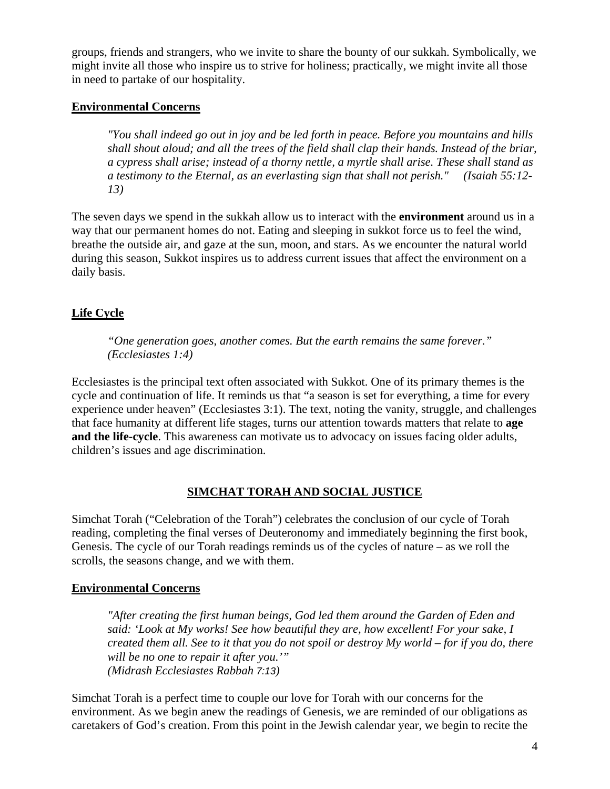groups, friends and strangers, who we invite to share the bounty of our sukkah. Symbolically, we might invite all those who inspire us to strive for holiness; practically, we might invite all those in need to partake of our hospitality.

### **Environmental Concerns**

*"You shall indeed go out in joy and be led forth in peace. Before you mountains and hills shall shout aloud; and all the trees of the field shall clap their hands. Instead of the briar, a cypress shall arise; instead of a thorny nettle, a myrtle shall arise. These shall stand as a testimony to the Eternal, as an everlasting sign that shall not perish." (Isaiah 55:12- 13)*

The seven days we spend in the sukkah allow us to interact with the **environment** around us in a way that our permanent homes do not. Eating and sleeping in sukkot force us to feel the wind, breathe the outside air, and gaze at the sun, moon, and stars. As we encounter the natural world during this season, Sukkot inspires us to address current issues that affect the environment on a daily basis.

# **Life Cycle**

*"One generation goes, another comes. But the earth remains the same forever." (Ecclesiastes 1:4)* 

Ecclesiastes is the principal text often associated with Sukkot. One of its primary themes is the cycle and continuation of life. It reminds us that "a season is set for everything, a time for every experience under heaven" (Ecclesiastes 3:1). The text, noting the vanity, struggle, and challenges that face humanity at different life stages, turns our attention towards matters that relate to **age and the life-cycle**. This awareness can motivate us to advocacy on issues facing older adults, children's issues and age discrimination.

### **SIMCHAT TORAH AND SOCIAL JUSTICE**

Simchat Torah ("Celebration of the Torah") celebrates the conclusion of our cycle of Torah reading, completing the final verses of Deuteronomy and immediately beginning the first book, Genesis. The cycle of our Torah readings reminds us of the cycles of nature – as we roll the scrolls, the seasons change, and we with them.

### **Environmental Concerns**

*"After creating the first human beings, God led them around the Garden of Eden and said: 'Look at My works! See how beautiful they are, how excellent! For your sake, I created them all. See to it that you do not spoil or destroy My world – for if you do, there will be no one to repair it after you.'" (Midrash Ecclesiastes Rabbah 7:13)* 

Simchat Torah is a perfect time to couple our love for Torah with our concerns for the environment. As we begin anew the readings of Genesis, we are reminded of our obligations as caretakers of God's creation. From this point in the Jewish calendar year, we begin to recite the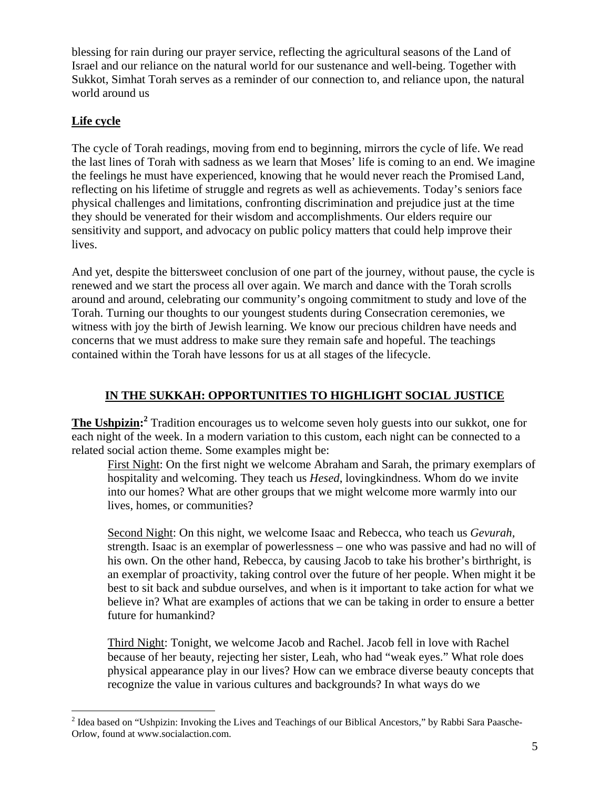blessing for rain during our prayer service, reflecting the agricultural seasons of the Land of Israel and our reliance on the natural world for our sustenance and well-being. Together with Sukkot, Simhat Torah serves as a reminder of our connection to, and reliance upon, the natural world around us

# **Life cycle**

The cycle of Torah readings, moving from end to beginning, mirrors the cycle of life. We read the last lines of Torah with sadness as we learn that Moses' life is coming to an end. We imagine the feelings he must have experienced, knowing that he would never reach the Promised Land, reflecting on his lifetime of struggle and regrets as well as achievements. Today's seniors face physical challenges and limitations, confronting discrimination and prejudice just at the time they should be venerated for their wisdom and accomplishments. Our elders require our sensitivity and support, and advocacy on public policy matters that could help improve their lives.

And yet, despite the bittersweet conclusion of one part of the journey, without pause, the cycle is renewed and we start the process all over again. We march and dance with the Torah scrolls around and around, celebrating our community's ongoing commitment to study and love of the Torah. Turning our thoughts to our youngest students during Consecration ceremonies, we witness with joy the birth of Jewish learning. We know our precious children have needs and concerns that we must address to make sure they remain safe and hopeful. The teachings contained within the Torah have lessons for us at all stages of the lifecycle.

# **IN THE SUKKAH: OPPORTUNITIES TO HIGHLIGHT SOCIAL JUSTICE**

**The Ushpizin: <sup>2</sup>** Tradition encourages us to welcome seven holy guests into our sukkot, one for each night of the week. In a modern variation to this custom, each night can be connected to a related social action theme. Some examples might be:

First Night: On the first night we welcome Abraham and Sarah, the primary exemplars of hospitality and welcoming. They teach us *Hesed*, lovingkindness. Whom do we invite into our homes? What are other groups that we might welcome more warmly into our lives, homes, or communities?

Second Night: On this night, we welcome Isaac and Rebecca, who teach us *Gevurah,*  strength. Isaac is an exemplar of powerlessness – one who was passive and had no will of his own. On the other hand, Rebecca, by causing Jacob to take his brother's birthright, is an exemplar of proactivity, taking control over the future of her people. When might it be best to sit back and subdue ourselves, and when is it important to take action for what we believe in? What are examples of actions that we can be taking in order to ensure a better future for humankind?

Third Night: Tonight, we welcome Jacob and Rachel. Jacob fell in love with Rachel because of her beauty, rejecting her sister, Leah, who had "weak eyes." What role does physical appearance play in our lives? How can we embrace diverse beauty concepts that recognize the value in various cultures and backgrounds? In what ways do we

<sup>&</sup>lt;sup>2</sup> Idea based on "Ushpizin: Invoking the Lives and Teachings of our Biblical Ancestors," by Rabbi Sara Paasche-Orlow, found at www.socialaction.com.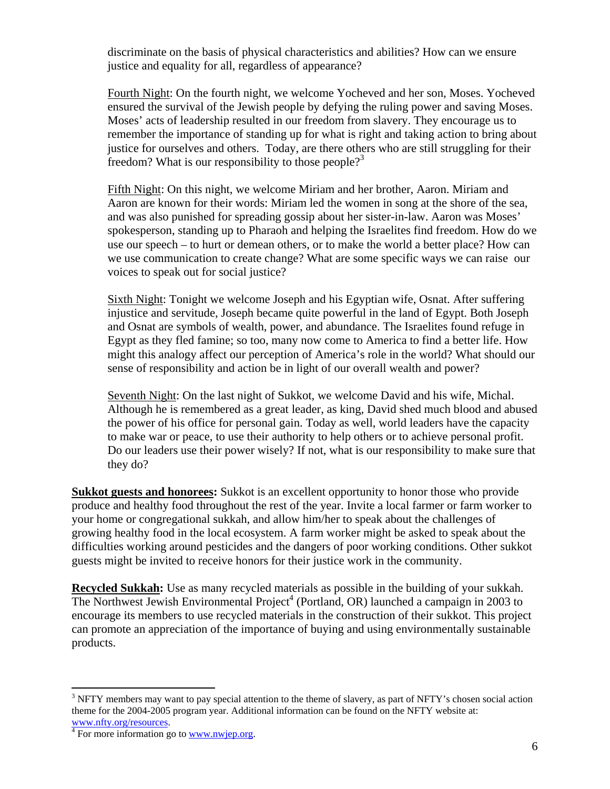discriminate on the basis of physical characteristics and abilities? How can we ensure justice and equality for all, regardless of appearance?

Fourth Night: On the fourth night, we welcome Yocheved and her son, Moses. Yocheved ensured the survival of the Jewish people by defying the ruling power and saving Moses. Moses' acts of leadership resulted in our freedom from slavery. They encourage us to remember the importance of standing up for what is right and taking action to bring about justice for ourselves and others. Today, are there others who are still struggling for their freedom? What is our responsibility to those people?<sup>3</sup>

Fifth Night: On this night, we welcome Miriam and her brother, Aaron. Miriam and Aaron are known for their words: Miriam led the women in song at the shore of the sea, and was also punished for spreading gossip about her sister-in-law. Aaron was Moses' spokesperson, standing up to Pharaoh and helping the Israelites find freedom. How do we use our speech – to hurt or demean others, or to make the world a better place? How can we use communication to create change? What are some specific ways we can raise our voices to speak out for social justice?

Sixth Night: Tonight we welcome Joseph and his Egyptian wife, Osnat. After suffering injustice and servitude, Joseph became quite powerful in the land of Egypt. Both Joseph and Osnat are symbols of wealth, power, and abundance. The Israelites found refuge in Egypt as they fled famine; so too, many now come to America to find a better life. How might this analogy affect our perception of America's role in the world? What should our sense of responsibility and action be in light of our overall wealth and power?

Seventh Night: On the last night of Sukkot, we welcome David and his wife, Michal. Although he is remembered as a great leader, as king, David shed much blood and abused the power of his office for personal gain. Today as well, world leaders have the capacity to make war or peace, to use their authority to help others or to achieve personal profit. Do our leaders use their power wisely? If not, what is our responsibility to make sure that they do?

**Sukkot guests and honorees:** Sukkot is an excellent opportunity to honor those who provide produce and healthy food throughout the rest of the year. Invite a local farmer or farm worker to your home or congregational sukkah, and allow him/her to speak about the challenges of growing healthy food in the local ecosystem. A farm worker might be asked to speak about the difficulties working around pesticides and the dangers of poor working conditions. Other sukkot guests might be invited to receive honors for their justice work in the community.

**Recycled Sukkah:** Use as many recycled materials as possible in the building of your sukkah. The Northwest Jewish Environmental Project<sup>4</sup> (Portland, OR) launched a campaign in 2003 to encourage its members to use recycled materials in the construction of their sukkot. This project can promote an appreciation of the importance of buying and using environmentally sustainable products.

<sup>1</sup>  $3$  NFTY members may want to pay special attention to the theme of slavery, as part of NFTY's chosen social action theme for the 2004-2005 program year. Additional information can be found on the NFTY website at: www.nfty.org/resources. 4

 $\frac{4}{1}$  For more information go to www.nwjep.org.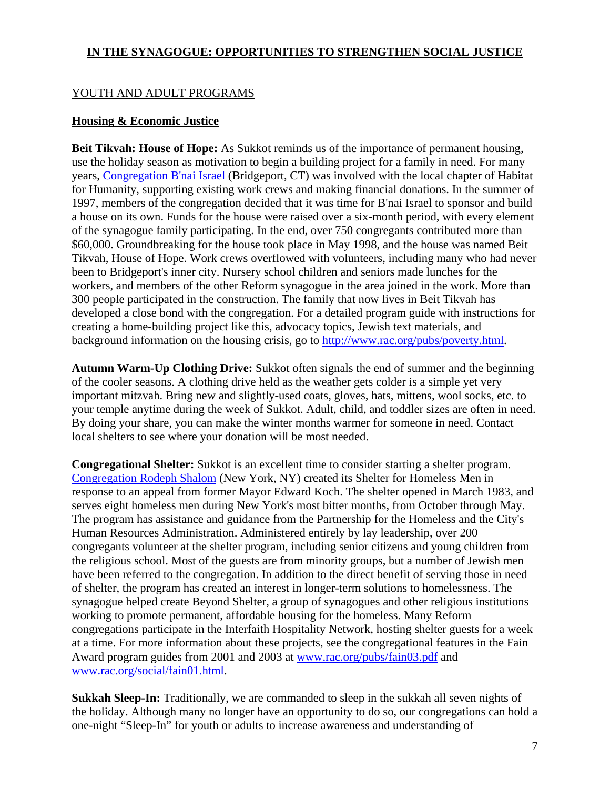### **IN THE SYNAGOGUE: OPPORTUNITIES TO STRENGTHEN SOCIAL JUSTICE**

### YOUTH AND ADULT PROGRAMS

#### **Housing & Economic Justice**

**Beit Tikvah: House of Hope:** As Sukkot reminds us of the importance of permanent housing, use the holiday season as motivation to begin a building project for a family in need. For many years, Congregation B'nai Israel (Bridgeport, CT) was involved with the local chapter of Habitat for Humanity, supporting existing work crews and making financial donations. In the summer of 1997, members of the congregation decided that it was time for B'nai Israel to sponsor and build a house on its own. Funds for the house were raised over a six-month period, with every element of the synagogue family participating. In the end, over 750 congregants contributed more than \$60,000. Groundbreaking for the house took place in May 1998, and the house was named Beit Tikvah, House of Hope. Work crews overflowed with volunteers, including many who had never been to Bridgeport's inner city. Nursery school children and seniors made lunches for the workers, and members of the other Reform synagogue in the area joined in the work. More than 300 people participated in the construction. The family that now lives in Beit Tikvah has developed a close bond with the congregation. For a detailed program guide with instructions for creating a home-building project like this, advocacy topics, Jewish text materials, and background information on the housing crisis, go to http://www.rac.org/pubs/poverty.html.

**Autumn Warm-Up Clothing Drive:** Sukkot often signals the end of summer and the beginning of the cooler seasons. A clothing drive held as the weather gets colder is a simple yet very important mitzvah. Bring new and slightly-used coats, gloves, hats, mittens, wool socks, etc. to your temple anytime during the week of Sukkot. Adult, child, and toddler sizes are often in need. By doing your share, you can make the winter months warmer for someone in need. Contact local shelters to see where your donation will be most needed.

**Congregational Shelter:** Sukkot is an excellent time to consider starting a shelter program. Congregation Rodeph Shalom (New York, NY) created its Shelter for Homeless Men in response to an appeal from former Mayor Edward Koch. The shelter opened in March 1983, and serves eight homeless men during New York's most bitter months, from October through May. The program has assistance and guidance from the Partnership for the Homeless and the City's Human Resources Administration. Administered entirely by lay leadership, over 200 congregants volunteer at the shelter program, including senior citizens and young children from the religious school. Most of the guests are from minority groups, but a number of Jewish men have been referred to the congregation. In addition to the direct benefit of serving those in need of shelter, the program has created an interest in longer-term solutions to homelessness. The synagogue helped create Beyond Shelter, a group of synagogues and other religious institutions working to promote permanent, affordable housing for the homeless. Many Reform congregations participate in the Interfaith Hospitality Network, hosting shelter guests for a week at a time. For more information about these projects, see the congregational features in the Fain Award program guides from 2001 and 2003 at www.rac.org/pubs/fain03.pdf and www.rac.org/social/fain01.html.

**Sukkah Sleep-In:** Traditionally, we are commanded to sleep in the sukkah all seven nights of the holiday. Although many no longer have an opportunity to do so, our congregations can hold a one-night "Sleep-In" for youth or adults to increase awareness and understanding of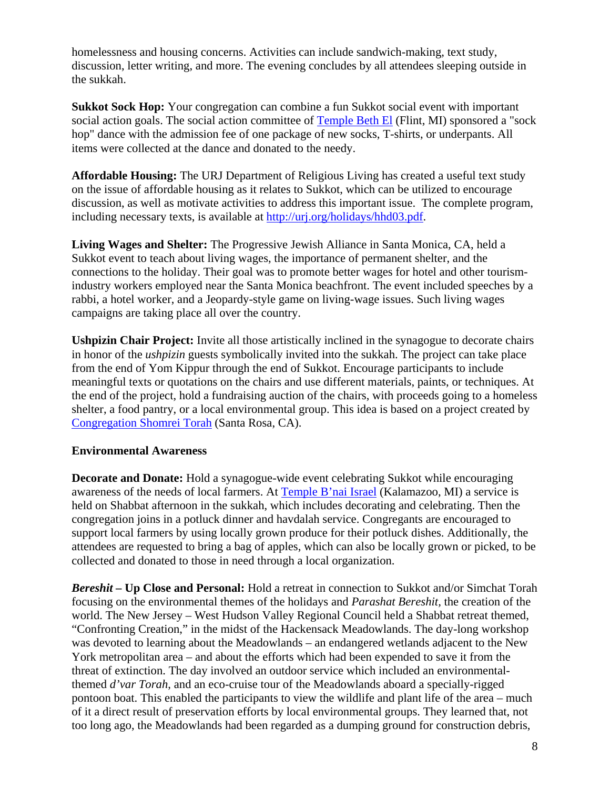homelessness and housing concerns. Activities can include sandwich-making, text study, discussion, letter writing, and more. The evening concludes by all attendees sleeping outside in the sukkah.

**Sukkot Sock Hop:** Your congregation can combine a fun Sukkot social event with important social action goals. The social action committee of Temple Beth El (Flint, MI) sponsored a "sock hop" dance with the admission fee of one package of new socks, T-shirts, or underpants. All items were collected at the dance and donated to the needy.

**Affordable Housing:** The URJ Department of Religious Living has created a useful text study on the issue of affordable housing as it relates to Sukkot, which can be utilized to encourage discussion, as well as motivate activities to address this important issue. The complete program, including necessary texts, is available at http://urj.org/holidays/hhd03.pdf.

**Living Wages and Shelter:** The Progressive Jewish Alliance in Santa Monica, CA, held a Sukkot event to teach about living wages, the importance of permanent shelter, and the connections to the holiday. Their goal was to promote better wages for hotel and other tourismindustry workers employed near the Santa Monica beachfront. The event included speeches by a rabbi, a hotel worker, and a Jeopardy-style game on living-wage issues. Such living wages campaigns are taking place all over the country.

**Ushpizin Chair Project:** Invite all those artistically inclined in the synagogue to decorate chairs in honor of the *ushpizin* guests symbolically invited into the sukkah. The project can take place from the end of Yom Kippur through the end of Sukkot. Encourage participants to include meaningful texts or quotations on the chairs and use different materials, paints, or techniques. At the end of the project, hold a fundraising auction of the chairs, with proceeds going to a homeless shelter, a food pantry, or a local environmental group. This idea is based on a project created by Congregation Shomrei Torah (Santa Rosa, CA).

### **Environmental Awareness**

**Decorate and Donate:** Hold a synagogue-wide event celebrating Sukkot while encouraging awareness of the needs of local farmers. At Temple B'nai Israel (Kalamazoo, MI) a service is held on Shabbat afternoon in the sukkah, which includes decorating and celebrating. Then the congregation joins in a potluck dinner and havdalah service. Congregants are encouraged to support local farmers by using locally grown produce for their potluck dishes. Additionally, the attendees are requested to bring a bag of apples, which can also be locally grown or picked, to be collected and donated to those in need through a local organization.

*Bereshit –* **Up Close and Personal:** Hold a retreat in connection to Sukkot and/or Simchat Torah focusing on the environmental themes of the holidays and *Parashat Bereshit,* the creation of the world. The New Jersey – West Hudson Valley Regional Council held a Shabbat retreat themed, "Confronting Creation," in the midst of the Hackensack Meadowlands. The day-long workshop was devoted to learning about the Meadowlands – an endangered wetlands adjacent to the New York metropolitan area – and about the efforts which had been expended to save it from the threat of extinction. The day involved an outdoor service which included an environmentalthemed *d'var Torah*, and an eco-cruise tour of the Meadowlands aboard a specially-rigged pontoon boat. This enabled the participants to view the wildlife and plant life of the area – much of it a direct result of preservation efforts by local environmental groups. They learned that, not too long ago, the Meadowlands had been regarded as a dumping ground for construction debris,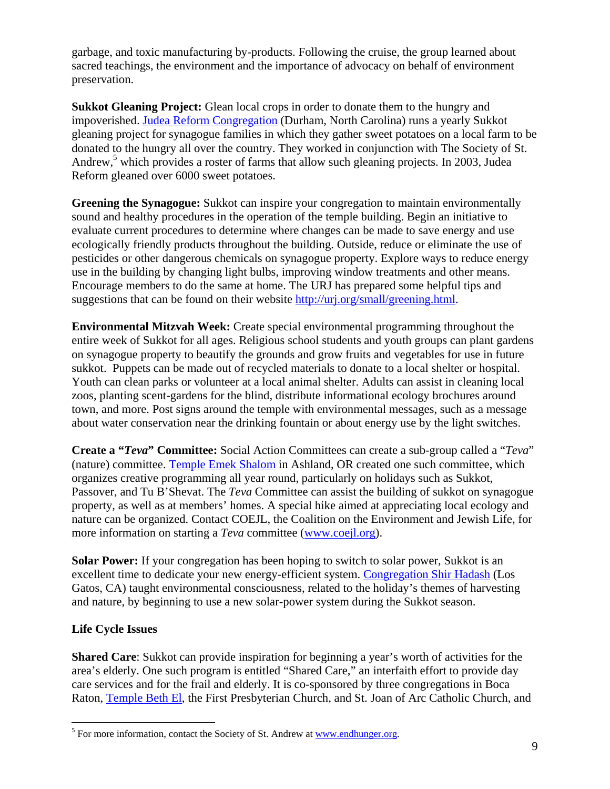garbage, and toxic manufacturing by-products. Following the cruise, the group learned about sacred teachings, the environment and the importance of advocacy on behalf of environment preservation.

**Sukkot Gleaning Project:** Glean local crops in order to donate them to the hungry and impoverished. Judea Reform Congregation (Durham, North Carolina) runs a yearly Sukkot gleaning project for synagogue families in which they gather sweet potatoes on a local farm to be donated to the hungry all over the country. They worked in conjunction with The Society of St. Andrew,<sup>5</sup> which provides a roster of farms that allow such gleaning projects. In 2003, Judea Reform gleaned over 6000 sweet potatoes.

**Greening the Synagogue:** Sukkot can inspire your congregation to maintain environmentally sound and healthy procedures in the operation of the temple building. Begin an initiative to evaluate current procedures to determine where changes can be made to save energy and use ecologically friendly products throughout the building. Outside, reduce or eliminate the use of pesticides or other dangerous chemicals on synagogue property. Explore ways to reduce energy use in the building by changing light bulbs, improving window treatments and other means. Encourage members to do the same at home. The URJ has prepared some helpful tips and suggestions that can be found on their website http://urj.org/small/greening.html.

**Environmental Mitzvah Week:** Create special environmental programming throughout the entire week of Sukkot for all ages. Religious school students and youth groups can plant gardens on synagogue property to beautify the grounds and grow fruits and vegetables for use in future sukkot. Puppets can be made out of recycled materials to donate to a local shelter or hospital. Youth can clean parks or volunteer at a local animal shelter. Adults can assist in cleaning local zoos, planting scent-gardens for the blind, distribute informational ecology brochures around town, and more. Post signs around the temple with environmental messages, such as a message about water conservation near the drinking fountain or about energy use by the light switches.

**Create a "***Teva***" Committee:** Social Action Committees can create a sub-group called a "*Teva*" (nature) committee. Temple Emek Shalom in Ashland, OR created one such committee, which organizes creative programming all year round, particularly on holidays such as Sukkot, Passover, and Tu B'Shevat. The *Teva* Committee can assist the building of sukkot on synagogue property, as well as at members' homes. A special hike aimed at appreciating local ecology and nature can be organized. Contact COEJL, the Coalition on the Environment and Jewish Life, for more information on starting a *Teva* committee (www.coejl.org).

**Solar Power:** If your congregation has been hoping to switch to solar power, Sukkot is an excellent time to dedicate your new energy-efficient system. Congregation Shir Hadash (Los Gatos, CA) taught environmental consciousness, related to the holiday's themes of harvesting and nature, by beginning to use a new solar-power system during the Sukkot season.

# **Life Cycle Issues**

1

**Shared Care**: Sukkot can provide inspiration for beginning a year's worth of activities for the area's elderly. One such program is entitled "Shared Care," an interfaith effort to provide day care services and for the frail and elderly. It is co-sponsored by three congregations in Boca Raton, Temple Beth El, the First Presbyterian Church, and St. Joan of Arc Catholic Church, and

 $<sup>5</sup>$  For more information, contact the Society of St. Andrew at  $\underline{www.endhunger.org}$ .</sup>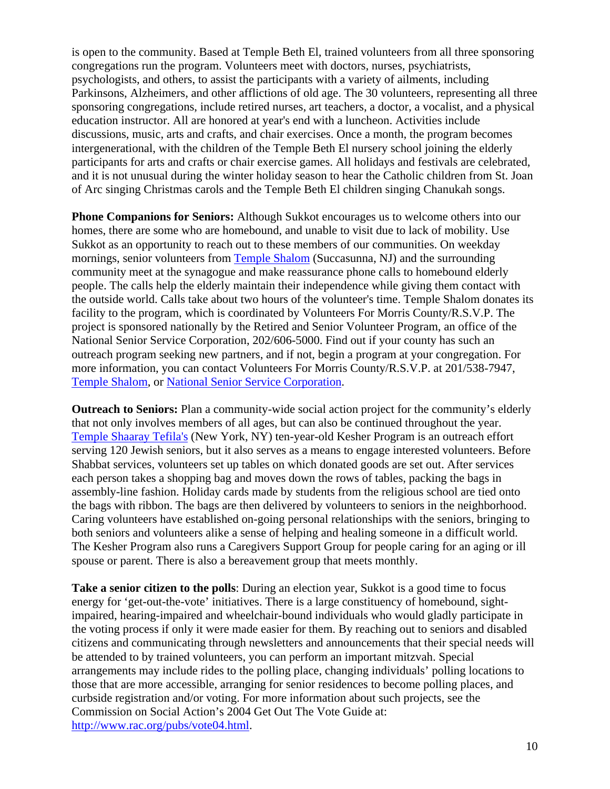is open to the community. Based at Temple Beth El, trained volunteers from all three sponsoring congregations run the program. Volunteers meet with doctors, nurses, psychiatrists, psychologists, and others, to assist the participants with a variety of ailments, including Parkinsons, Alzheimers, and other afflictions of old age. The 30 volunteers, representing all three sponsoring congregations, include retired nurses, art teachers, a doctor, a vocalist, and a physical education instructor. All are honored at year's end with a luncheon. Activities include discussions, music, arts and crafts, and chair exercises. Once a month, the program becomes intergenerational, with the children of the Temple Beth El nursery school joining the elderly participants for arts and crafts or chair exercise games. All holidays and festivals are celebrated, and it is not unusual during the winter holiday season to hear the Catholic children from St. Joan of Arc singing Christmas carols and the Temple Beth El children singing Chanukah songs.

**Phone Companions for Seniors:** Although Sukkot encourages us to welcome others into our homes, there are some who are homebound, and unable to visit due to lack of mobility. Use Sukkot as an opportunity to reach out to these members of our communities. On weekday mornings, senior volunteers from Temple Shalom (Succasunna, NJ) and the surrounding community meet at the synagogue and make reassurance phone calls to homebound elderly people. The calls help the elderly maintain their independence while giving them contact with the outside world. Calls take about two hours of the volunteer's time. Temple Shalom donates its facility to the program, which is coordinated by Volunteers For Morris County/R.S.V.P. The project is sponsored nationally by the Retired and Senior Volunteer Program, an office of the National Senior Service Corporation, 202/606-5000. Find out if your county has such an outreach program seeking new partners, and if not, begin a program at your congregation. For more information, you can contact Volunteers For Morris County/R.S.V.P. at 201/538-7947, Temple Shalom, or National Senior Service Corporation.

**Outreach to Seniors:** Plan a community-wide social action project for the community's elderly that not only involves members of all ages, but can also be continued throughout the year. Temple Shaaray Tefila's (New York, NY) ten-year-old Kesher Program is an outreach effort serving 120 Jewish seniors, but it also serves as a means to engage interested volunteers. Before Shabbat services, volunteers set up tables on which donated goods are set out. After services each person takes a shopping bag and moves down the rows of tables, packing the bags in assembly-line fashion. Holiday cards made by students from the religious school are tied onto the bags with ribbon. The bags are then delivered by volunteers to seniors in the neighborhood. Caring volunteers have established on-going personal relationships with the seniors, bringing to both seniors and volunteers alike a sense of helping and healing someone in a difficult world. The Kesher Program also runs a Caregivers Support Group for people caring for an aging or ill spouse or parent. There is also a bereavement group that meets monthly.

**Take a senior citizen to the polls**: During an election year, Sukkot is a good time to focus energy for 'get-out-the-vote' initiatives. There is a large constituency of homebound, sightimpaired, hearing-impaired and wheelchair-bound individuals who would gladly participate in the voting process if only it were made easier for them. By reaching out to seniors and disabled citizens and communicating through newsletters and announcements that their special needs will be attended to by trained volunteers, you can perform an important mitzvah. Special arrangements may include rides to the polling place, changing individuals' polling locations to those that are more accessible, arranging for senior residences to become polling places, and curbside registration and/or voting. For more information about such projects, see the Commission on Social Action's 2004 Get Out The Vote Guide at: http://www.rac.org/pubs/vote04.html.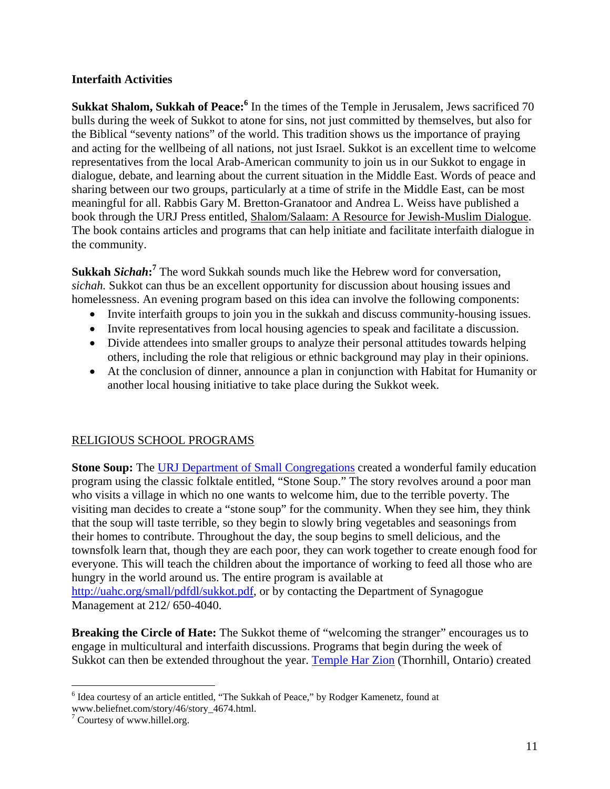### **Interfaith Activities**

**Sukkat Shalom, Sukkah of Peace:**<sup>6</sup> In the times of the Temple in Jerusalem, Jews sacrificed 70 bulls during the week of Sukkot to atone for sins, not just committed by themselves, but also for the Biblical "seventy nations" of the world. This tradition shows us the importance of praying and acting for the wellbeing of all nations, not just Israel. Sukkot is an excellent time to welcome representatives from the local Arab-American community to join us in our Sukkot to engage in dialogue, debate, and learning about the current situation in the Middle East. Words of peace and sharing between our two groups, particularly at a time of strife in the Middle East, can be most meaningful for all. Rabbis Gary M. Bretton-Granatoor and Andrea L. Weiss have published a book through the URJ Press entitled, Shalom/Salaam: A Resource for Jewish-Muslim Dialogue. The book contains articles and programs that can help initiate and facilitate interfaith dialogue in the community.

**Sukkah** *Sichah***: <sup>7</sup>** The word Sukkah sounds much like the Hebrew word for conversation, *sichah.* Sukkot can thus be an excellent opportunity for discussion about housing issues and homelessness. An evening program based on this idea can involve the following components:

- Invite interfaith groups to join you in the sukkah and discuss community-housing issues.
- Invite representatives from local housing agencies to speak and facilitate a discussion.
- Divide attendees into smaller groups to analyze their personal attitudes towards helping others, including the role that religious or ethnic background may play in their opinions.
- At the conclusion of dinner, announce a plan in conjunction with Habitat for Humanity or another local housing initiative to take place during the Sukkot week.

# RELIGIOUS SCHOOL PROGRAMS

**Stone Soup:** The URJ Department of Small Congregations created a wonderful family education program using the classic folktale entitled, "Stone Soup." The story revolves around a poor man who visits a village in which no one wants to welcome him, due to the terrible poverty. The visiting man decides to create a "stone soup" for the community. When they see him, they think that the soup will taste terrible, so they begin to slowly bring vegetables and seasonings from their homes to contribute. Throughout the day, the soup begins to smell delicious, and the townsfolk learn that, though they are each poor, they can work together to create enough food for everyone. This will teach the children about the importance of working to feed all those who are hungry in the world around us. The entire program is available at http://uahc.org/small/pdfdl/sukkot.pdf, or by contacting the Department of Synagogue Management at 212/ 650-4040.

**Breaking the Circle of Hate:** The Sukkot theme of "welcoming the stranger" encourages us to engage in multicultural and interfaith discussions. Programs that begin during the week of Sukkot can then be extended throughout the year. Temple Har Zion (Thornhill, Ontario) created

 6 Idea courtesy of an article entitled, "The Sukkah of Peace," by Rodger Kamenetz, found at

www.beliefnet.com/story/46/story\_4674.html.

<sup>&</sup>lt;sup>7</sup> Courtesy of www.hillel.org.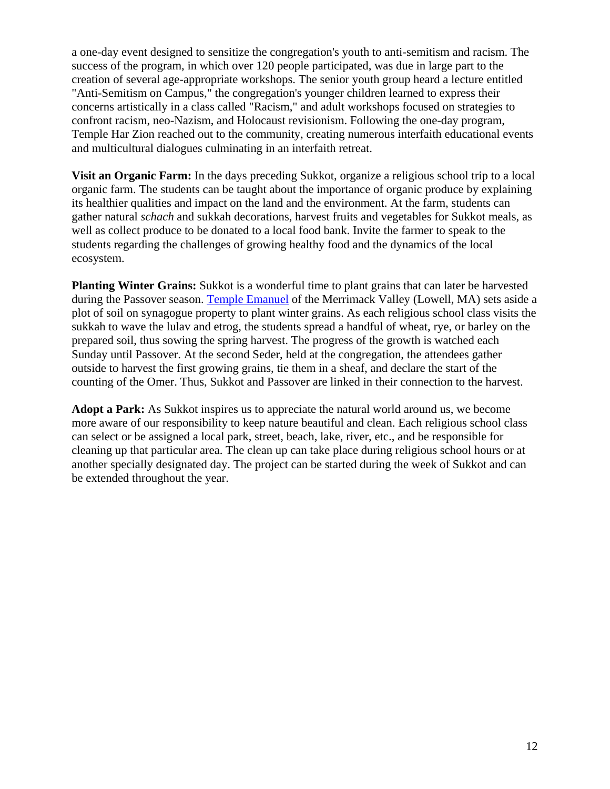a one-day event designed to sensitize the congregation's youth to anti-semitism and racism. The success of the program, in which over 120 people participated, was due in large part to the creation of several age-appropriate workshops. The senior youth group heard a lecture entitled "Anti-Semitism on Campus," the congregation's younger children learned to express their concerns artistically in a class called "Racism," and adult workshops focused on strategies to confront racism, neo-Nazism, and Holocaust revisionism. Following the one-day program, Temple Har Zion reached out to the community, creating numerous interfaith educational events and multicultural dialogues culminating in an interfaith retreat.

**Visit an Organic Farm:** In the days preceding Sukkot, organize a religious school trip to a local organic farm. The students can be taught about the importance of organic produce by explaining its healthier qualities and impact on the land and the environment. At the farm, students can gather natural *schach* and sukkah decorations, harvest fruits and vegetables for Sukkot meals, as well as collect produce to be donated to a local food bank. Invite the farmer to speak to the students regarding the challenges of growing healthy food and the dynamics of the local ecosystem.

**Planting Winter Grains:** Sukkot is a wonderful time to plant grains that can later be harvested during the Passover season. Temple Emanuel of the Merrimack Valley (Lowell, MA) sets aside a plot of soil on synagogue property to plant winter grains. As each religious school class visits the sukkah to wave the lulav and etrog, the students spread a handful of wheat, rye, or barley on the prepared soil, thus sowing the spring harvest. The progress of the growth is watched each Sunday until Passover. At the second Seder, held at the congregation, the attendees gather outside to harvest the first growing grains, tie them in a sheaf, and declare the start of the counting of the Omer. Thus, Sukkot and Passover are linked in their connection to the harvest.

**Adopt a Park:** As Sukkot inspires us to appreciate the natural world around us, we become more aware of our responsibility to keep nature beautiful and clean. Each religious school class can select or be assigned a local park, street, beach, lake, river, etc., and be responsible for cleaning up that particular area. The clean up can take place during religious school hours or at another specially designated day. The project can be started during the week of Sukkot and can be extended throughout the year.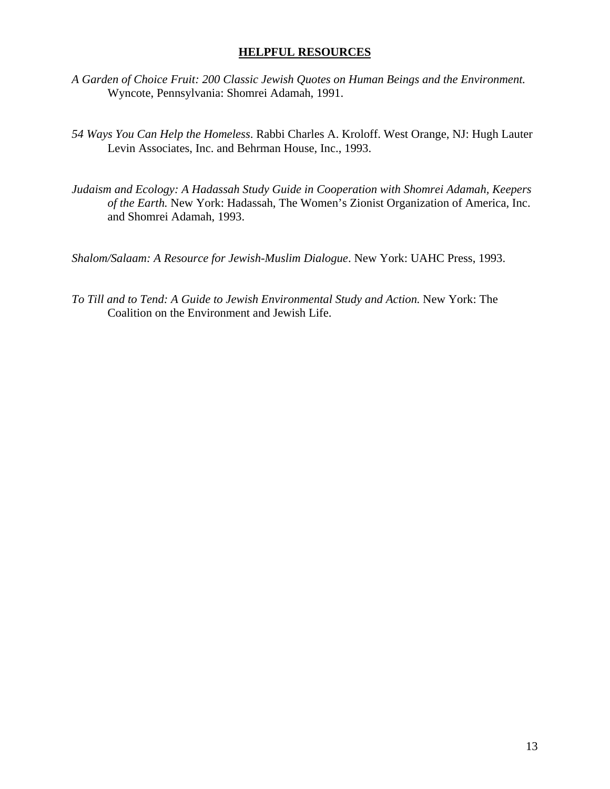### **HELPFUL RESOURCES**

- *A Garden of Choice Fruit: 200 Classic Jewish Quotes on Human Beings and the Environment.*  Wyncote, Pennsylvania: Shomrei Adamah, 1991.
- *54 Ways You Can Help the Homeless*. Rabbi Charles A. Kroloff. West Orange, NJ: Hugh Lauter Levin Associates, Inc. and Behrman House, Inc., 1993.
- *Judaism and Ecology: A Hadassah Study Guide in Cooperation with Shomrei Adamah, Keepers of the Earth.* New York: Hadassah, The Women's Zionist Organization of America, Inc. and Shomrei Adamah, 1993.

*Shalom/Salaam: A Resource for Jewish-Muslim Dialogue*. New York: UAHC Press, 1993.

*To Till and to Tend: A Guide to Jewish Environmental Study and Action.* New York: The Coalition on the Environment and Jewish Life.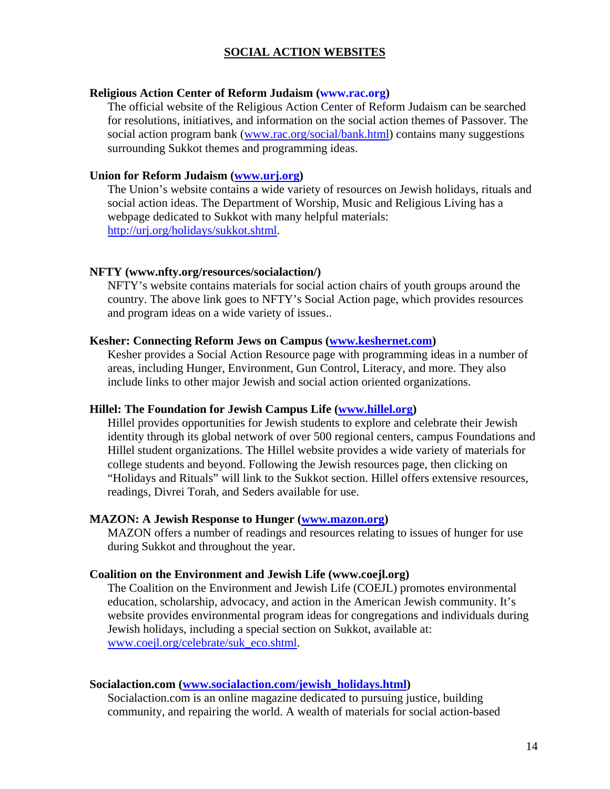#### **SOCIAL ACTION WEBSITES**

#### **Religious Action Center of Reform Judaism (www.rac.org)**

The official website of the Religious Action Center of Reform Judaism can be searched for resolutions, initiatives, and information on the social action themes of Passover. The social action program bank (www.rac.org/social/bank.html) contains many suggestions surrounding Sukkot themes and programming ideas.

#### **Union for Reform Judaism (www.urj.org)**

The Union's website contains a wide variety of resources on Jewish holidays, rituals and social action ideas. The Department of Worship, Music and Religious Living has a webpage dedicated to Sukkot with many helpful materials: http://urj.org/holidays/sukkot.shtml.

#### **NFTY (www.nfty.org/resources/socialaction/)**

NFTY's website contains materials for social action chairs of youth groups around the country. The above link goes to NFTY's Social Action page, which provides resources and program ideas on a wide variety of issues..

#### **Kesher: Connecting Reform Jews on Campus (www.keshernet.com)**

Kesher provides a Social Action Resource page with programming ideas in a number of areas, including Hunger, Environment, Gun Control, Literacy, and more. They also include links to other major Jewish and social action oriented organizations.

#### **Hillel: The Foundation for Jewish Campus Life (www.hillel.org)**

Hillel provides opportunities for Jewish students to explore and celebrate their Jewish identity through its global network of over 500 regional centers, campus Foundations and Hillel student organizations. The Hillel website provides a wide variety of materials for college students and beyond. Following the Jewish resources page, then clicking on "Holidays and Rituals" will link to the Sukkot section. Hillel offers extensive resources, readings, Divrei Torah, and Seders available for use.

#### **MAZON: A Jewish Response to Hunger (www.mazon.org)**

MAZON offers a number of readings and resources relating to issues of hunger for use during Sukkot and throughout the year.

#### **Coalition on the Environment and Jewish Life (www.coejl.org)**

The Coalition on the Environment and Jewish Life (COEJL) promotes environmental education, scholarship, advocacy, and action in the American Jewish community. It's website provides environmental program ideas for congregations and individuals during Jewish holidays, including a special section on Sukkot, available at: www.coejl.org/celebrate/suk\_eco.shtml.

#### **Socialaction.com (www.socialaction.com/jewish\_holidays.html)**

Socialaction.com is an online magazine dedicated to pursuing justice, building community, and repairing the world. A wealth of materials for social action-based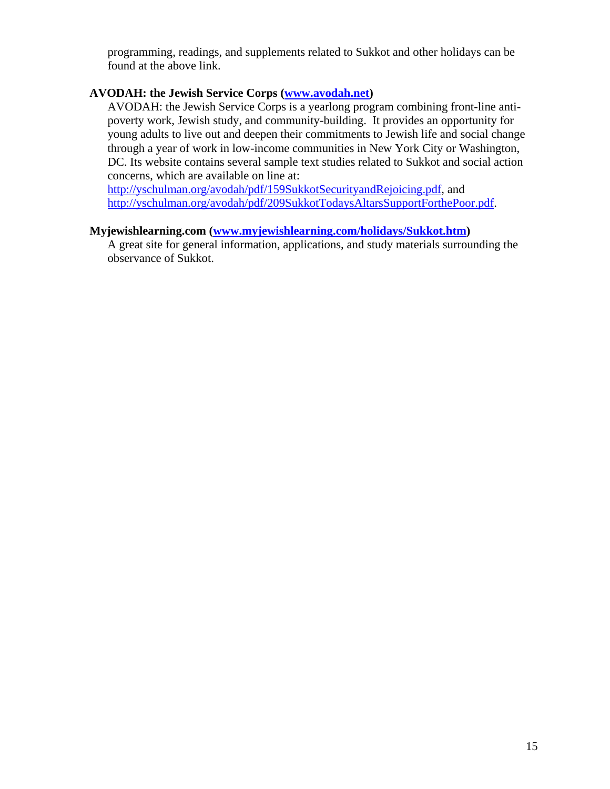programming, readings, and supplements related to Sukkot and other holidays can be found at the above link.

#### **AVODAH: the Jewish Service Corps (www.avodah.net)**

AVODAH: the Jewish Service Corps is a yearlong program combining front-line antipoverty work, Jewish study, and community-building. It provides an opportunity for young adults to live out and deepen their commitments to Jewish life and social change through a year of work in low-income communities in New York City or Washington, DC. Its website contains several sample text studies related to Sukkot and social action concerns, which are available on line at:

http://yschulman.org/avodah/pdf/159SukkotSecurityandRejoicing.pdf, and http://yschulman.org/avodah/pdf/209SukkotTodaysAltarsSupportForthePoor.pdf.

#### **Myjewishlearning.com (www.myjewishlearning.com/holidays/Sukkot.htm)**

A great site for general information, applications, and study materials surrounding the observance of Sukkot.